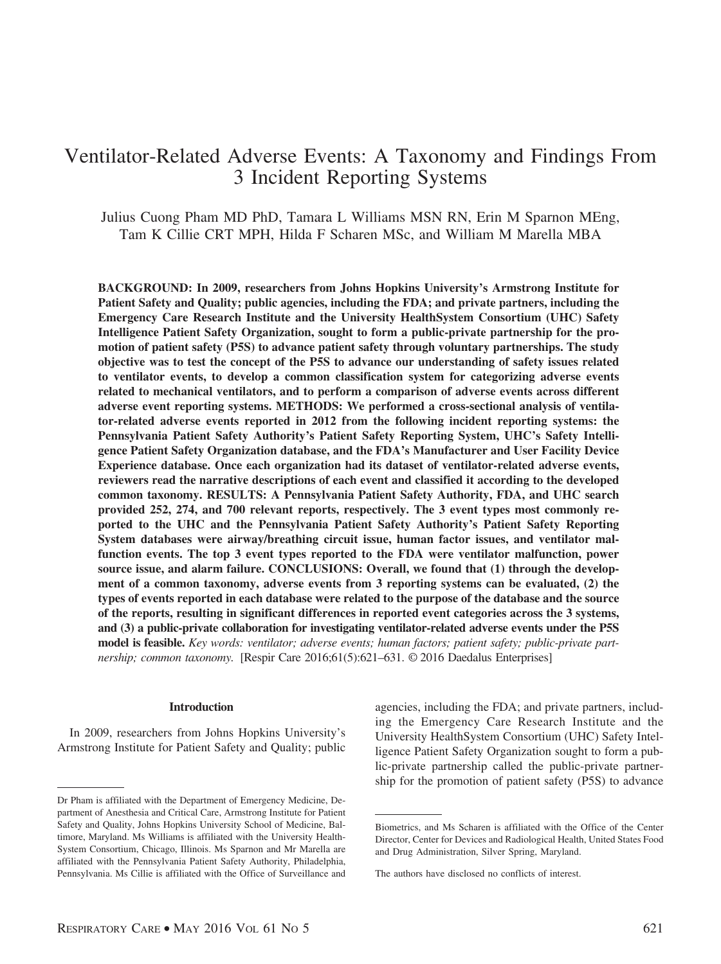# Ventilator-Related Adverse Events: A Taxonomy and Findings From 3 Incident Reporting Systems

Julius Cuong Pham MD PhD, Tamara L Williams MSN RN, Erin M Sparnon MEng, Tam K Cillie CRT MPH, Hilda F Scharen MSc, and William M Marella MBA

**BACKGROUND: In 2009, researchers from Johns Hopkins University's Armstrong Institute for Patient Safety and Quality; public agencies, including the FDA; and private partners, including the Emergency Care Research Institute and the University HealthSystem Consortium (UHC) Safety Intelligence Patient Safety Organization, sought to form a public-private partnership for the promotion of patient safety (P5S) to advance patient safety through voluntary partnerships. The study objective was to test the concept of the P5S to advance our understanding of safety issues related to ventilator events, to develop a common classification system for categorizing adverse events related to mechanical ventilators, and to perform a comparison of adverse events across different adverse event reporting systems. METHODS: We performed a cross-sectional analysis of ventilator-related adverse events reported in 2012 from the following incident reporting systems: the Pennsylvania Patient Safety Authority's Patient Safety Reporting System, UHC's Safety Intelligence Patient Safety Organization database, and the FDA's Manufacturer and User Facility Device Experience database. Once each organization had its dataset of ventilator-related adverse events, reviewers read the narrative descriptions of each event and classified it according to the developed common taxonomy. RESULTS: A Pennsylvania Patient Safety Authority, FDA, and UHC search provided 252, 274, and 700 relevant reports, respectively. The 3 event types most commonly reported to the UHC and the Pennsylvania Patient Safety Authority's Patient Safety Reporting System databases were airway/breathing circuit issue, human factor issues, and ventilator malfunction events. The top 3 event types reported to the FDA were ventilator malfunction, power source issue, and alarm failure. CONCLUSIONS: Overall, we found that (1) through the development of a common taxonomy, adverse events from 3 reporting systems can be evaluated, (2) the types of events reported in each database were related to the purpose of the database and the source of the reports, resulting in significant differences in reported event categories across the 3 systems, and (3) a public-private collaboration for investigating ventilator-related adverse events under the P5S model is feasible.** *Key words: ventilator; adverse events; human factors; patient safety; public-private partnership; common taxonomy.* [Respir Care 2016;61(5):621–631. © 2016 Daedalus Enterprises]

### **Introduction**

In 2009, researchers from Johns Hopkins University's Armstrong Institute for Patient Safety and Quality; public agencies, including the FDA; and private partners, including the Emergency Care Research Institute and the University HealthSystem Consortium (UHC) Safety Intelligence Patient Safety Organization sought to form a public-private partnership called the public-private partnership for the promotion of patient safety (P5S) to advance

Dr Pham is affiliated with the Department of Emergency Medicine, Department of Anesthesia and Critical Care, Armstrong Institute for Patient Safety and Quality, Johns Hopkins University School of Medicine, Baltimore, Maryland. Ms Williams is affiliated with the University Health-System Consortium, Chicago, Illinois. Ms Sparnon and Mr Marella are affiliated with the Pennsylvania Patient Safety Authority, Philadelphia, Pennsylvania. Ms Cillie is affiliated with the Office of Surveillance and

Biometrics, and Ms Scharen is affiliated with the Office of the Center Director, Center for Devices and Radiological Health, United States Food and Drug Administration, Silver Spring, Maryland.

The authors have disclosed no conflicts of interest.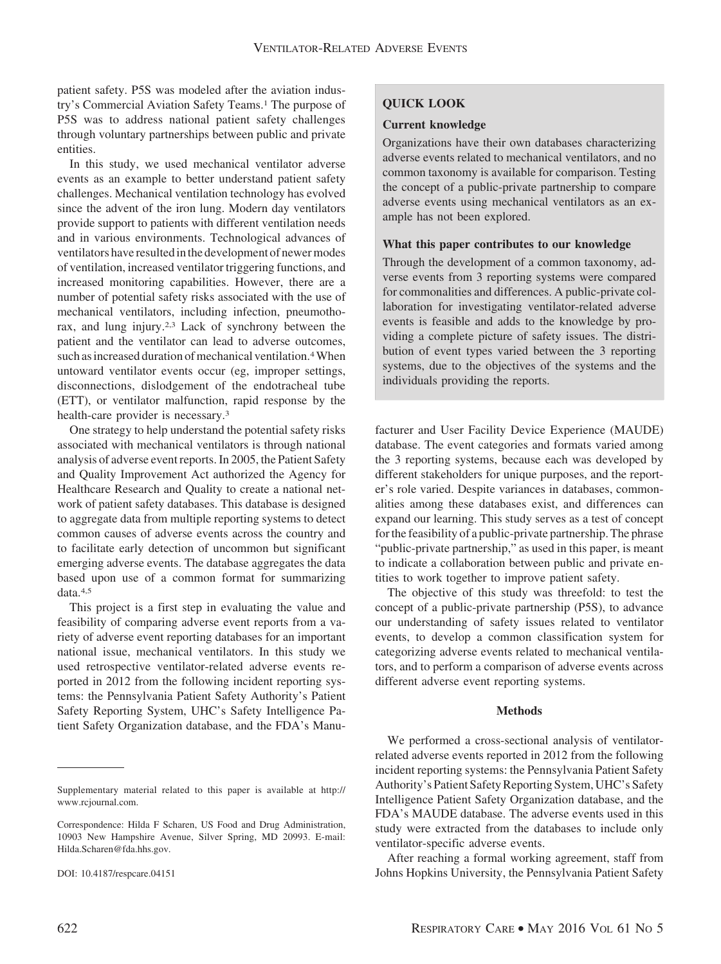patient safety. P5S was modeled after the aviation industry's Commercial Aviation Safety Teams.1 The purpose of P5S was to address national patient safety challenges through voluntary partnerships between public and private entities.

In this study, we used mechanical ventilator adverse events as an example to better understand patient safety challenges. Mechanical ventilation technology has evolved since the advent of the iron lung. Modern day ventilators provide support to patients with different ventilation needs and in various environments. Technological advances of ventilators have resulted in the development of newer modes of ventilation, increased ventilator triggering functions, and increased monitoring capabilities. However, there are a number of potential safety risks associated with the use of mechanical ventilators, including infection, pneumothorax, and lung injury.2,3 Lack of synchrony between the patient and the ventilator can lead to adverse outcomes, such as increased duration of mechanical ventilation.<sup>4</sup> When untoward ventilator events occur (eg, improper settings, disconnections, dislodgement of the endotracheal tube (ETT), or ventilator malfunction, rapid response by the health-care provider is necessary.3

One strategy to help understand the potential safety risks associated with mechanical ventilators is through national analysis of adverse event reports. In 2005, the Patient Safety and Quality Improvement Act authorized the Agency for Healthcare Research and Quality to create a national network of patient safety databases. This database is designed to aggregate data from multiple reporting systems to detect common causes of adverse events across the country and to facilitate early detection of uncommon but significant emerging adverse events. The database aggregates the data based upon use of a common format for summarizing data.4,5

This project is a first step in evaluating the value and feasibility of comparing adverse event reports from a variety of adverse event reporting databases for an important national issue, mechanical ventilators. In this study we used retrospective ventilator-related adverse events reported in 2012 from the following incident reporting systems: the Pennsylvania Patient Safety Authority's Patient Safety Reporting System, UHC's Safety Intelligence Patient Safety Organization database, and the FDA's Manu-

DOI: 10.4187/respcare.04151

# **QUICK LOOK**

### **Current knowledge**

Organizations have their own databases characterizing adverse events related to mechanical ventilators, and no common taxonomy is available for comparison. Testing the concept of a public-private partnership to compare adverse events using mechanical ventilators as an example has not been explored.

# **What this paper contributes to our knowledge**

Through the development of a common taxonomy, adverse events from 3 reporting systems were compared for commonalities and differences. A public-private collaboration for investigating ventilator-related adverse events is feasible and adds to the knowledge by providing a complete picture of safety issues. The distribution of event types varied between the 3 reporting systems, due to the objectives of the systems and the individuals providing the reports.

facturer and User Facility Device Experience (MAUDE) database. The event categories and formats varied among the 3 reporting systems, because each was developed by different stakeholders for unique purposes, and the reporter's role varied. Despite variances in databases, commonalities among these databases exist, and differences can expand our learning. This study serves as a test of concept for the feasibility of a public-private partnership. The phrase "public-private partnership," as used in this paper, is meant to indicate a collaboration between public and private entities to work together to improve patient safety.

The objective of this study was threefold: to test the concept of a public-private partnership (P5S), to advance our understanding of safety issues related to ventilator events, to develop a common classification system for categorizing adverse events related to mechanical ventilators, and to perform a comparison of adverse events across different adverse event reporting systems.

# **Methods**

We performed a cross-sectional analysis of ventilatorrelated adverse events reported in 2012 from the following incident reporting systems: the Pennsylvania Patient Safety Authority's Patient Safety Reporting System, UHC's Safety Intelligence Patient Safety Organization database, and the FDA's MAUDE database. The adverse events used in this study were extracted from the databases to include only ventilator-specific adverse events.

After reaching a formal working agreement, staff from Johns Hopkins University, the Pennsylvania Patient Safety

Supplementary material related to this paper is available at http:// www.rcjournal.com.

Correspondence: Hilda F Scharen, US Food and Drug Administration, 10903 New Hampshire Avenue, Silver Spring, MD 20993. E-mail: Hilda.Scharen@fda.hhs.gov.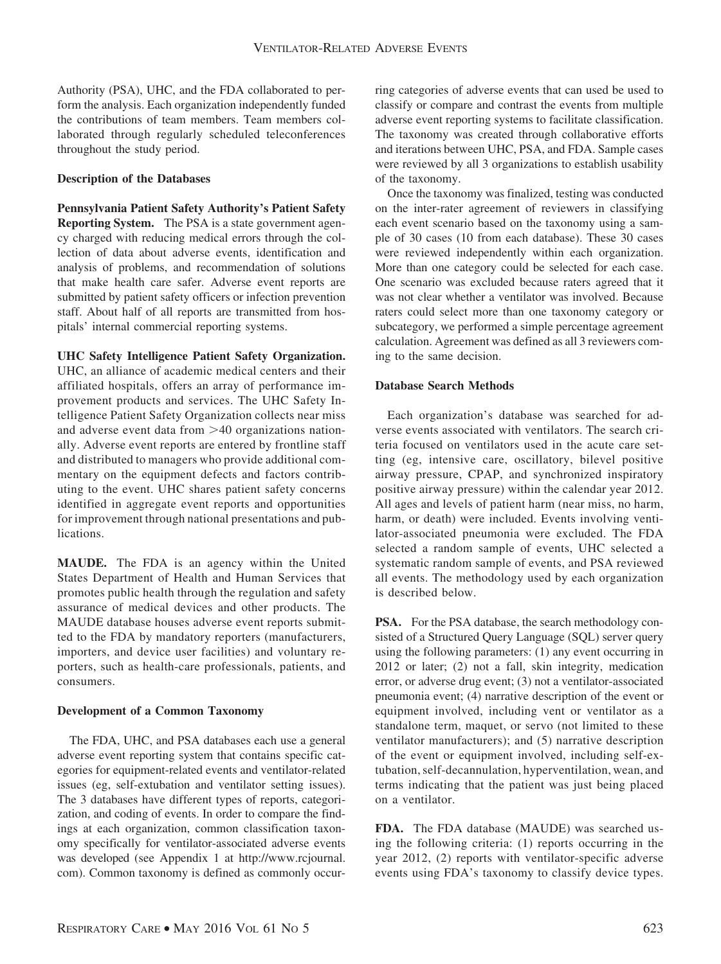Authority (PSA), UHC, and the FDA collaborated to perform the analysis. Each organization independently funded the contributions of team members. Team members collaborated through regularly scheduled teleconferences throughout the study period.

# **Description of the Databases**

**Pennsylvania Patient Safety Authority's Patient Safety Reporting System.** The PSA is a state government agency charged with reducing medical errors through the collection of data about adverse events, identification and analysis of problems, and recommendation of solutions that make health care safer. Adverse event reports are submitted by patient safety officers or infection prevention staff. About half of all reports are transmitted from hospitals' internal commercial reporting systems.

# **UHC Safety Intelligence Patient Safety Organization.**

UHC, an alliance of academic medical centers and their affiliated hospitals, offers an array of performance improvement products and services. The UHC Safety Intelligence Patient Safety Organization collects near miss and adverse event data from >40 organizations nationally. Adverse event reports are entered by frontline staff and distributed to managers who provide additional commentary on the equipment defects and factors contributing to the event. UHC shares patient safety concerns identified in aggregate event reports and opportunities for improvement through national presentations and publications.

**MAUDE.** The FDA is an agency within the United States Department of Health and Human Services that promotes public health through the regulation and safety assurance of medical devices and other products. The MAUDE database houses adverse event reports submitted to the FDA by mandatory reporters (manufacturers, importers, and device user facilities) and voluntary reporters, such as health-care professionals, patients, and consumers.

# **Development of a Common Taxonomy**

The FDA, UHC, and PSA databases each use a general adverse event reporting system that contains specific categories for equipment-related events and ventilator-related issues (eg, self-extubation and ventilator setting issues). The 3 databases have different types of reports, categorization, and coding of events. In order to compare the findings at each organization, common classification taxonomy specifically for ventilator-associated adverse events was developed (see Appendix 1 at [http://www.rcjournal.](http://www.rcjournal.com) [com\)](http://www.rcjournal.com). Common taxonomy is defined as commonly occurring categories of adverse events that can used be used to classify or compare and contrast the events from multiple adverse event reporting systems to facilitate classification. The taxonomy was created through collaborative efforts and iterations between UHC, PSA, and FDA. Sample cases were reviewed by all 3 organizations to establish usability of the taxonomy.

Once the taxonomy was finalized, testing was conducted on the inter-rater agreement of reviewers in classifying each event scenario based on the taxonomy using a sample of 30 cases (10 from each database). These 30 cases were reviewed independently within each organization. More than one category could be selected for each case. One scenario was excluded because raters agreed that it was not clear whether a ventilator was involved. Because raters could select more than one taxonomy category or subcategory, we performed a simple percentage agreement calculation. Agreement was defined as all 3 reviewers coming to the same decision.

# **Database Search Methods**

Each organization's database was searched for adverse events associated with ventilators. The search criteria focused on ventilators used in the acute care setting (eg, intensive care, oscillatory, bilevel positive airway pressure, CPAP, and synchronized inspiratory positive airway pressure) within the calendar year 2012. All ages and levels of patient harm (near miss, no harm, harm, or death) were included. Events involving ventilator-associated pneumonia were excluded. The FDA selected a random sample of events, UHC selected a systematic random sample of events, and PSA reviewed all events. The methodology used by each organization is described below.

**PSA.** For the PSA database, the search methodology consisted of a Structured Query Language (SQL) server query using the following parameters: (1) any event occurring in 2012 or later; (2) not a fall, skin integrity, medication error, or adverse drug event; (3) not a ventilator-associated pneumonia event; (4) narrative description of the event or equipment involved, including vent or ventilator as a standalone term, maquet, or servo (not limited to these ventilator manufacturers); and (5) narrative description of the event or equipment involved, including self-extubation, self-decannulation, hyperventilation, wean, and terms indicating that the patient was just being placed on a ventilator.

**FDA.** The FDA database (MAUDE) was searched using the following criteria: (1) reports occurring in the year 2012, (2) reports with ventilator-specific adverse events using FDA's taxonomy to classify device types.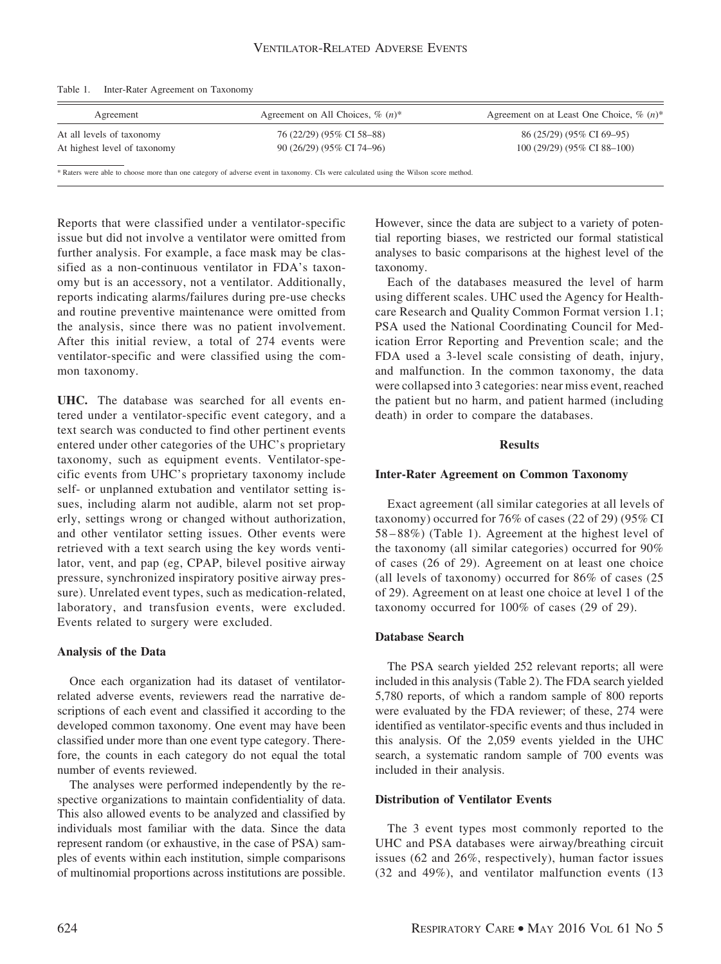| Agreement                    | Agreement on All Choices, $\%$ $(n)^*$ | Agreement on at Least One Choice, $\%$ $(n)^*$ |
|------------------------------|----------------------------------------|------------------------------------------------|
| At all levels of taxonomy    | 76 (22/29) (95% CI 58–88)              | 86 (25/29) (95% CI 69–95)                      |
| At highest level of taxonomy | 90 (26/29) (95% CI 74-96)              | 100 (29/29) (95% CI 88-100)                    |

Table 1. Inter-Rater Agreement on Taxonomy

Reports that were classified under a ventilator-specific issue but did not involve a ventilator were omitted from further analysis. For example, a face mask may be classified as a non-continuous ventilator in FDA's taxonomy but is an accessory, not a ventilator. Additionally, reports indicating alarms/failures during pre-use checks and routine preventive maintenance were omitted from the analysis, since there was no patient involvement. After this initial review, a total of 274 events were ventilator-specific and were classified using the common taxonomy.

**UHC.** The database was searched for all events entered under a ventilator-specific event category, and a text search was conducted to find other pertinent events entered under other categories of the UHC's proprietary taxonomy, such as equipment events. Ventilator-specific events from UHC's proprietary taxonomy include self- or unplanned extubation and ventilator setting issues, including alarm not audible, alarm not set properly, settings wrong or changed without authorization, and other ventilator setting issues. Other events were retrieved with a text search using the key words ventilator, vent, and pap (eg, CPAP, bilevel positive airway pressure, synchronized inspiratory positive airway pressure). Unrelated event types, such as medication-related, laboratory, and transfusion events, were excluded. Events related to surgery were excluded.

# **Analysis of the Data**

Once each organization had its dataset of ventilatorrelated adverse events, reviewers read the narrative descriptions of each event and classified it according to the developed common taxonomy. One event may have been classified under more than one event type category. Therefore, the counts in each category do not equal the total number of events reviewed.

The analyses were performed independently by the respective organizations to maintain confidentiality of data. This also allowed events to be analyzed and classified by individuals most familiar with the data. Since the data represent random (or exhaustive, in the case of PSA) samples of events within each institution, simple comparisons of multinomial proportions across institutions are possible.

However, since the data are subject to a variety of potential reporting biases, we restricted our formal statistical analyses to basic comparisons at the highest level of the taxonomy.

Each of the databases measured the level of harm using different scales. UHC used the Agency for Healthcare Research and Quality Common Format version 1.1; PSA used the National Coordinating Council for Medication Error Reporting and Prevention scale; and the FDA used a 3-level scale consisting of death, injury, and malfunction. In the common taxonomy, the data were collapsed into 3 categories: near miss event, reached the patient but no harm, and patient harmed (including death) in order to compare the databases.

# **Results**

### **Inter-Rater Agreement on Common Taxonomy**

Exact agreement (all similar categories at all levels of taxonomy) occurred for 76% of cases (22 of 29) (95% CI 58 – 88%) (Table 1). Agreement at the highest level of the taxonomy (all similar categories) occurred for 90% of cases (26 of 29). Agreement on at least one choice (all levels of taxonomy) occurred for 86% of cases (25 of 29). Agreement on at least one choice at level 1 of the taxonomy occurred for 100% of cases (29 of 29).

# **Database Search**

The PSA search yielded 252 relevant reports; all were included in this analysis (Table 2). The FDA search yielded 5,780 reports, of which a random sample of 800 reports were evaluated by the FDA reviewer; of these, 274 were identified as ventilator-specific events and thus included in this analysis. Of the 2,059 events yielded in the UHC search, a systematic random sample of 700 events was included in their analysis.

# **Distribution of Ventilator Events**

The 3 event types most commonly reported to the UHC and PSA databases were airway/breathing circuit issues (62 and 26%, respectively), human factor issues (32 and 49%), and ventilator malfunction events (13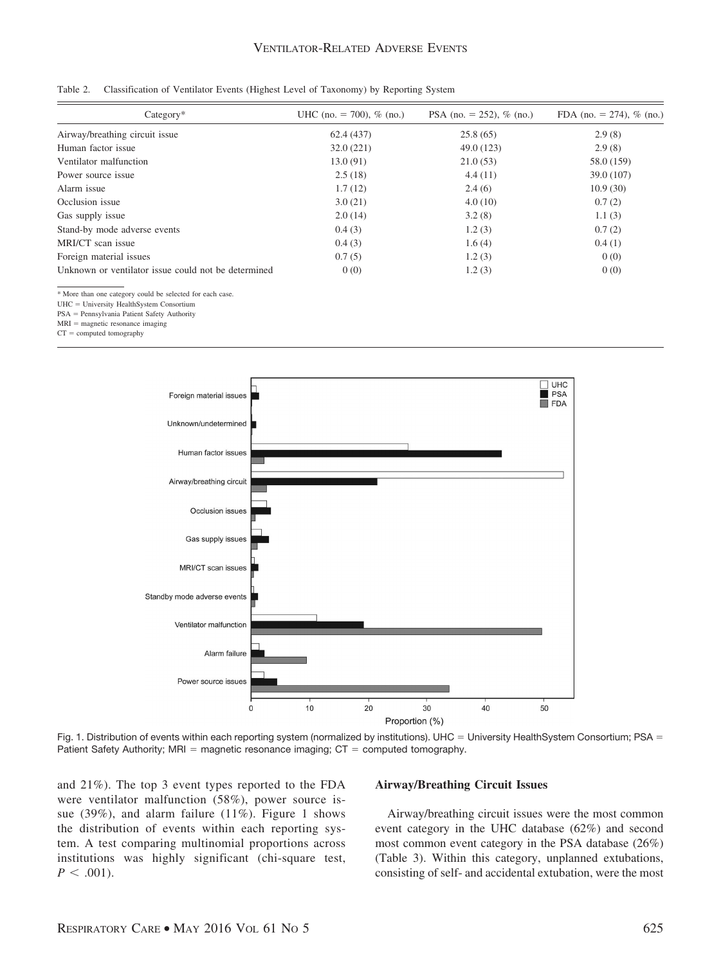|  |  |  |  |  | Table 2. Classification of Ventilator Events (Highest Level of Taxonomy) by Reporting System |
|--|--|--|--|--|----------------------------------------------------------------------------------------------|
|--|--|--|--|--|----------------------------------------------------------------------------------------------|

| $Category*$                                         | UHC (no. $= 700$ ), % (no.) | PSA (no. $= 252$ ), % (no.) | FDA (no. $= 274$ ), % (no.) |
|-----------------------------------------------------|-----------------------------|-----------------------------|-----------------------------|
| Airway/breathing circuit issue                      | 62.4(437)                   | 25.8(65)                    | 2.9(8)                      |
| Human factor issue                                  | 32.0(221)                   | 49.0 (123)                  | 2.9(8)                      |
| Ventilator malfunction                              | 13.0(91)                    | 21.0(53)                    | 58.0 (159)                  |
| Power source issue                                  | 2.5(18)                     | 4.4(11)                     | 39.0 (107)                  |
| Alarm issue                                         | 1.7(12)                     | 2.4(6)                      | 10.9(30)                    |
| Occlusion issue                                     | 3.0(21)                     | 4.0(10)                     | 0.7(2)                      |
| Gas supply issue                                    | 2.0(14)                     | 3.2(8)                      | 1.1(3)                      |
| Stand-by mode adverse events                        | 0.4(3)                      | 1.2(3)                      | 0.7(2)                      |
| MRI/CT scan issue                                   | 0.4(3)                      | 1.6(4)                      | 0.4(1)                      |
| Foreign material issues                             | 0.7(5)                      | 1.2(3)                      | 0(0)                        |
| Unknown or ventilator issue could not be determined | 0(0)                        | 1.2(3)                      | 0(0)                        |

\* More than one category could be selected for each case.

UHC University HealthSystem Consortium

PSA = Pennsylvania Patient Safety Authority

 $MRI$  = magnetic resonance imaging

 $CT = computed tomography$ 



Fig. 1. Distribution of events within each reporting system (normalized by institutions). UHC = University HealthSystem Consortium; PSA = Patient Safety Authority; MRI = magnetic resonance imaging;  $CT =$  computed tomography.

and 21%). The top 3 event types reported to the FDA were ventilator malfunction (58%), power source issue (39%), and alarm failure (11%). Figure 1 shows the distribution of events within each reporting system. A test comparing multinomial proportions across institutions was highly significant (chi-square test,  $P < .001$ ).

# **Airway/Breathing Circuit Issues**

Airway/breathing circuit issues were the most common event category in the UHC database (62%) and second most common event category in the PSA database (26%) (Table 3). Within this category, unplanned extubations, consisting of self- and accidental extubation, were the most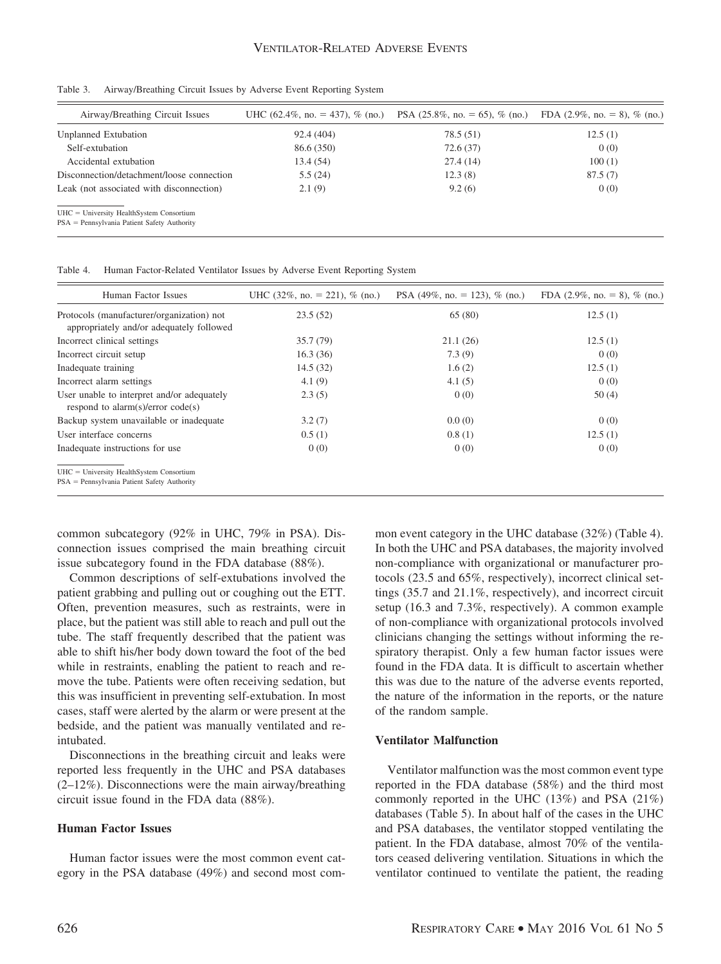| Table 3. | Airway/Breathing Circuit Issues by Adverse Event Reporting System |  |  |  |  |  |  |
|----------|-------------------------------------------------------------------|--|--|--|--|--|--|
|----------|-------------------------------------------------------------------|--|--|--|--|--|--|

| Airway/Breathing Circuit Issues                                                            | UHC $(62.4\%, no. = 437), \%$ (no.) | PSA $(25.8\%$ , no. = 65), % (no.) | FDA $(2.9\%$ , no. = 8), $\%$ (no.) |
|--------------------------------------------------------------------------------------------|-------------------------------------|------------------------------------|-------------------------------------|
| <b>Unplanned Extubation</b>                                                                | 92.4 (404)                          | 78.5 (51)                          | 12.5(1)                             |
| Self-extubation                                                                            | 86.6 (350)                          | 72.6(37)                           | 0(0)                                |
| Accidental extubation                                                                      | 13.4 (54)                           | 27.4 (14)                          | 100(1)                              |
| Disconnection/detachment/loose connection                                                  | 5.5(24)                             | 12.3(8)                            | 87.5(7)                             |
| Leak (not associated with disconnection)                                                   | 2.1(9)                              | 9.2(6)                             | 0(0)                                |
| $UHC = University Health System Consortium$<br>PSA = Pennsylvania Patient Safety Authority |                                     |                                    |                                     |

Table 4. Human Factor-Related Ventilator Issues by Adverse Event Reporting System

| Human Factor Issues                                                                       | UHC $(32\%, no. = 221), \%$ (no.) | PSA (49%, no. = 123), % (no.) | FDA $(2.9\%$ , no. = 8), $\%$ (no.) |
|-------------------------------------------------------------------------------------------|-----------------------------------|-------------------------------|-------------------------------------|
| Protocols (manufacturer/organization) not<br>appropriately and/or adequately followed     | 23.5(52)                          | 65(80)                        | 12.5(1)                             |
| Incorrect clinical settings                                                               | 35.7(79)                          | 21.1(26)                      | 12.5(1)                             |
| Incorrect circuit setup                                                                   | 16.3(36)                          | 7.3(9)                        | 0(0)                                |
| Inadequate training                                                                       | 14.5(32)                          | 1.6(2)                        | 12.5(1)                             |
| Incorrect alarm settings                                                                  | 4.1(9)                            | 4.1(5)                        | 0(0)                                |
| User unable to interpret and/or adequately<br>respond to alarm $(s)/error code(s)$        | 2.3(5)                            | 0(0)                          | 50(4)                               |
| Backup system unavailable or inadequate                                                   | 3.2(7)                            | 0.0(0)                        | 0(0)                                |
| User interface concerns                                                                   | 0.5(1)                            | 0.8(1)                        | 12.5(1)                             |
| Inadequate instructions for use                                                           | 0(0)                              | 0(0)                          | 0(0)                                |
| $UHC = University HealthSystem Consortium$<br>PSA = Pennsylvania Patient Safety Authority |                                   |                               |                                     |

common subcategory (92% in UHC, 79% in PSA). Disconnection issues comprised the main breathing circuit issue subcategory found in the FDA database (88%).

Common descriptions of self-extubations involved the patient grabbing and pulling out or coughing out the ETT. Often, prevention measures, such as restraints, were in place, but the patient was still able to reach and pull out the tube. The staff frequently described that the patient was able to shift his/her body down toward the foot of the bed while in restraints, enabling the patient to reach and remove the tube. Patients were often receiving sedation, but this was insufficient in preventing self-extubation. In most cases, staff were alerted by the alarm or were present at the bedside, and the patient was manually ventilated and reintubated.

Disconnections in the breathing circuit and leaks were reported less frequently in the UHC and PSA databases (2–12%). Disconnections were the main airway/breathing circuit issue found in the FDA data (88%).

### **Human Factor Issues**

Human factor issues were the most common event category in the PSA database (49%) and second most common event category in the UHC database (32%) (Table 4). In both the UHC and PSA databases, the majority involved non-compliance with organizational or manufacturer protocols (23.5 and 65%, respectively), incorrect clinical settings (35.7 and 21.1%, respectively), and incorrect circuit setup (16.3 and 7.3%, respectively). A common example of non-compliance with organizational protocols involved clinicians changing the settings without informing the respiratory therapist. Only a few human factor issues were found in the FDA data. It is difficult to ascertain whether this was due to the nature of the adverse events reported, the nature of the information in the reports, or the nature of the random sample.

### **Ventilator Malfunction**

Ventilator malfunction was the most common event type reported in the FDA database (58%) and the third most commonly reported in the UHC (13%) and PSA (21%) databases (Table 5). In about half of the cases in the UHC and PSA databases, the ventilator stopped ventilating the patient. In the FDA database, almost 70% of the ventilators ceased delivering ventilation. Situations in which the ventilator continued to ventilate the patient, the reading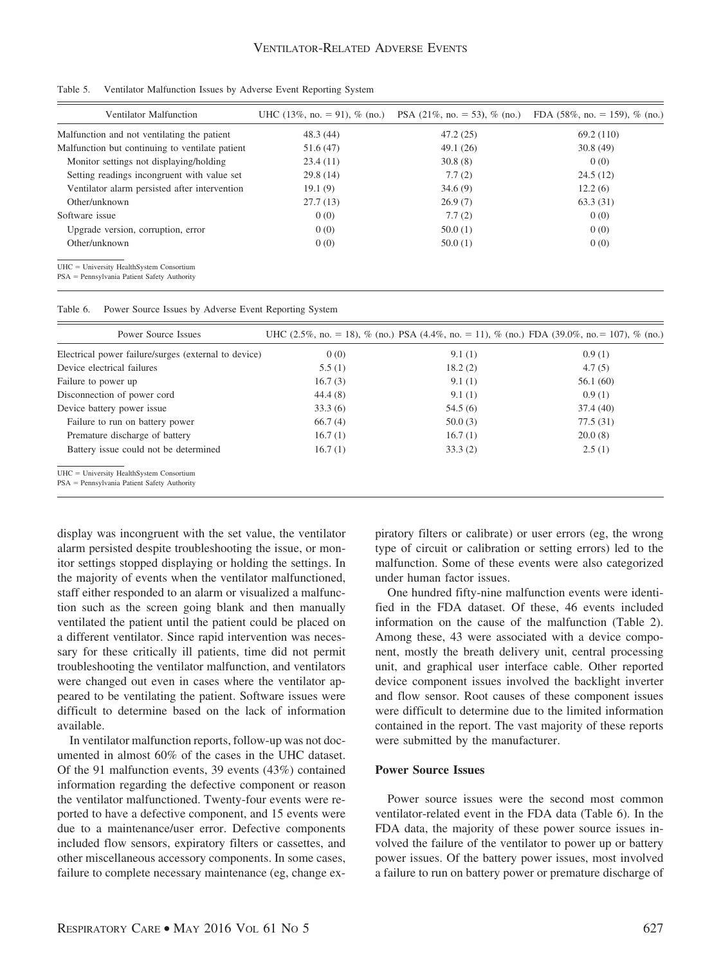| Table 5.<br>Ventilator Malfunction Issues by Adverse Event Reporting System |  |  |
|-----------------------------------------------------------------------------|--|--|
|-----------------------------------------------------------------------------|--|--|

| <b>Ventilator Malfunction</b>                                                             | UHC $(13\%, \text{no.} = 91)$ , % (no.) | PSA $(21\%$ , no. = 53), % (no.) | FDA $(58\%, no. = 159), \%$ (no.) |
|-------------------------------------------------------------------------------------------|-----------------------------------------|----------------------------------|-----------------------------------|
| Malfunction and not ventilating the patient                                               | 48.3(44)                                | 47.2(25)                         | 69.2 (110)                        |
| Malfunction but continuing to ventilate patient                                           | 51.6(47)                                | 49.1(26)                         | 30.8(49)                          |
| Monitor settings not displaying/holding                                                   | 23.4(11)                                | 30.8(8)                          | 0(0)                              |
| Setting readings incongruent with value set                                               | 29.8(14)                                | 7.7(2)                           | 24.5(12)                          |
| Ventilator alarm persisted after intervention                                             | 19.1(9)                                 | 34.6(9)                          | 12.2(6)                           |
| Other/unknown                                                                             | 27.7(13)                                | 26.9(7)                          | 63.3(31)                          |
| Software issue                                                                            | 0(0)                                    | 7.7(2)                           | 0(0)                              |
| Upgrade version, corruption, error                                                        | 0(0)                                    | 50.0(1)                          | 0(0)                              |
| Other/unknown                                                                             | 0(0)                                    | 50.0(1)                          | 0(0)                              |
| $UHC = University HealthSystem Consortium$<br>PSA = Pennsylvania Patient Safety Authority |                                         |                                  |                                   |

| Table 6. |  |  |  |  |  |  | Power Source Issues by Adverse Event Reporting System |  |
|----------|--|--|--|--|--|--|-------------------------------------------------------|--|
|----------|--|--|--|--|--|--|-------------------------------------------------------|--|

| Power Source Issues                                                                       |         |         | UHC $(2.5\%,$ no. = 18), % (no.) PSA $(4.4\%,$ no. = 11), % (no.) FDA $(39.0\%,$ no. = 107), % (no.) |
|-------------------------------------------------------------------------------------------|---------|---------|------------------------------------------------------------------------------------------------------|
| Electrical power failure/surges (external to device)                                      | 0(0)    | 9.1(1)  | 0.9(1)                                                                                               |
| Device electrical failures                                                                | 5.5(1)  | 18.2(2) | 4.7(5)                                                                                               |
| Failure to power up                                                                       | 16.7(3) | 9.1(1)  | 56.1(60)                                                                                             |
| Disconnection of power cord                                                               | 44.4(8) | 9.1(1)  | 0.9(1)                                                                                               |
| Device battery power issue                                                                | 33.3(6) | 54.5(6) | 37.4(40)                                                                                             |
| Failure to run on battery power                                                           | 66.7(4) | 50.0(3) | 77.5(31)                                                                                             |
| Premature discharge of battery                                                            | 16.7(1) | 16.7(1) | 20.0(8)                                                                                              |
| Battery issue could not be determined                                                     | 16.7(1) | 33.3(2) | 2.5(1)                                                                                               |
| $UHC = University HealthSystem Consortium$<br>PSA = Pennsylvania Patient Safety Authority |         |         |                                                                                                      |

display was incongruent with the set value, the ventilator alarm persisted despite troubleshooting the issue, or monitor settings stopped displaying or holding the settings. In the majority of events when the ventilator malfunctioned, staff either responded to an alarm or visualized a malfunction such as the screen going blank and then manually ventilated the patient until the patient could be placed on a different ventilator. Since rapid intervention was necessary for these critically ill patients, time did not permit troubleshooting the ventilator malfunction, and ventilators were changed out even in cases where the ventilator appeared to be ventilating the patient. Software issues were difficult to determine based on the lack of information available.

In ventilator malfunction reports, follow-up was not documented in almost 60% of the cases in the UHC dataset. Of the 91 malfunction events, 39 events (43%) contained information regarding the defective component or reason the ventilator malfunctioned. Twenty-four events were reported to have a defective component, and 15 events were due to a maintenance/user error. Defective components included flow sensors, expiratory filters or cassettes, and other miscellaneous accessory components. In some cases, failure to complete necessary maintenance (eg, change expiratory filters or calibrate) or user errors (eg, the wrong type of circuit or calibration or setting errors) led to the malfunction. Some of these events were also categorized under human factor issues.

One hundred fifty-nine malfunction events were identified in the FDA dataset. Of these, 46 events included information on the cause of the malfunction (Table 2). Among these, 43 were associated with a device component, mostly the breath delivery unit, central processing unit, and graphical user interface cable. Other reported device component issues involved the backlight inverter and flow sensor. Root causes of these component issues were difficult to determine due to the limited information contained in the report. The vast majority of these reports were submitted by the manufacturer.

# **Power Source Issues**

Power source issues were the second most common ventilator-related event in the FDA data (Table 6). In the FDA data, the majority of these power source issues involved the failure of the ventilator to power up or battery power issues. Of the battery power issues, most involved a failure to run on battery power or premature discharge of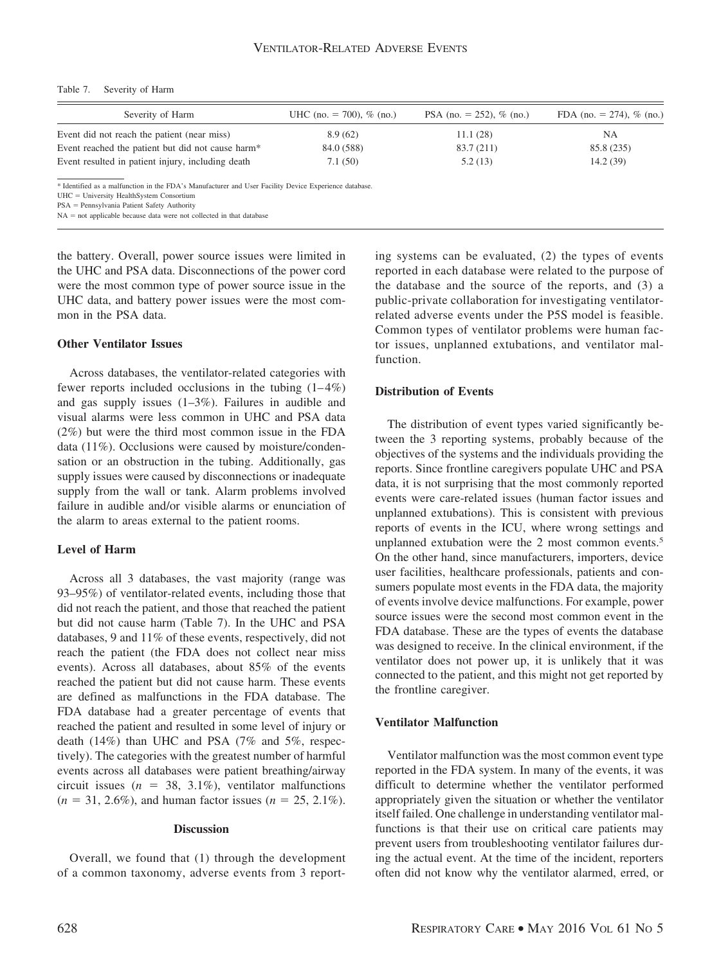| Severity of Harm                                                                                                                                                                                 | UHC (no. $= 700$ ), % (no.) | PSA (no. $= 252$ ), % (no.) | FDA (no. $= 274$ ), % (no.) |
|--------------------------------------------------------------------------------------------------------------------------------------------------------------------------------------------------|-----------------------------|-----------------------------|-----------------------------|
| Event did not reach the patient (near miss)                                                                                                                                                      | 8.9(62)                     | 11.1(28)                    | NA                          |
| Event reached the patient but did not cause harm*                                                                                                                                                | 84.0 (588)                  | 83.7 (211)                  | 85.8 (235)                  |
| Event resulted in patient injury, including death                                                                                                                                                | 7.1(50)                     | 5.2(13)                     | 14.2(39)                    |
| * Identified as a malfunction in the FDA's Manufacturer and User Facility Device Experience database.<br>UHC = University HealthSystem Consortium<br>PSA = Pennsylvania Patient Safety Authority |                             |                             |                             |

#### Table 7. Severity of Harm

 $NA = not applicable because data were not collected in that database$ 

the battery. Overall, power source issues were limited in the UHC and PSA data. Disconnections of the power cord were the most common type of power source issue in the UHC data, and battery power issues were the most common in the PSA data.

### **Other Ventilator Issues**

Across databases, the ventilator-related categories with fewer reports included occlusions in the tubing  $(1-4\%)$ and gas supply issues (1–3%). Failures in audible and visual alarms were less common in UHC and PSA data (2%) but were the third most common issue in the FDA data (11%). Occlusions were caused by moisture/condensation or an obstruction in the tubing. Additionally, gas supply issues were caused by disconnections or inadequate supply from the wall or tank. Alarm problems involved failure in audible and/or visible alarms or enunciation of the alarm to areas external to the patient rooms.

# **Level of Harm**

Across all 3 databases, the vast majority (range was 93–95%) of ventilator-related events, including those that did not reach the patient, and those that reached the patient but did not cause harm (Table 7). In the UHC and PSA databases, 9 and 11% of these events, respectively, did not reach the patient (the FDA does not collect near miss events). Across all databases, about 85% of the events reached the patient but did not cause harm. These events are defined as malfunctions in the FDA database. The FDA database had a greater percentage of events that reached the patient and resulted in some level of injury or death (14%) than UHC and PSA (7% and 5%, respectively). The categories with the greatest number of harmful events across all databases were patient breathing/airway circuit issues  $(n = 38, 3.1\%)$ , ventilator malfunctions  $(n = 31, 2.6\%)$ , and human factor issues  $(n = 25, 2.1\%)$ .

# **Discussion**

Overall, we found that (1) through the development of a common taxonomy, adverse events from 3 reporting systems can be evaluated, (2) the types of events reported in each database were related to the purpose of the database and the source of the reports, and (3) a public-private collaboration for investigating ventilatorrelated adverse events under the P5S model is feasible. Common types of ventilator problems were human factor issues, unplanned extubations, and ventilator malfunction.

### **Distribution of Events**

The distribution of event types varied significantly between the 3 reporting systems, probably because of the objectives of the systems and the individuals providing the reports. Since frontline caregivers populate UHC and PSA data, it is not surprising that the most commonly reported events were care-related issues (human factor issues and unplanned extubations). This is consistent with previous reports of events in the ICU, where wrong settings and unplanned extubation were the 2 most common events.5 On the other hand, since manufacturers, importers, device user facilities, healthcare professionals, patients and consumers populate most events in the FDA data, the majority of events involve device malfunctions. For example, power source issues were the second most common event in the FDA database. These are the types of events the database was designed to receive. In the clinical environment, if the ventilator does not power up, it is unlikely that it was connected to the patient, and this might not get reported by the frontline caregiver.

### **Ventilator Malfunction**

Ventilator malfunction was the most common event type reported in the FDA system. In many of the events, it was difficult to determine whether the ventilator performed appropriately given the situation or whether the ventilator itself failed. One challenge in understanding ventilator malfunctions is that their use on critical care patients may prevent users from troubleshooting ventilator failures during the actual event. At the time of the incident, reporters often did not know why the ventilator alarmed, erred, or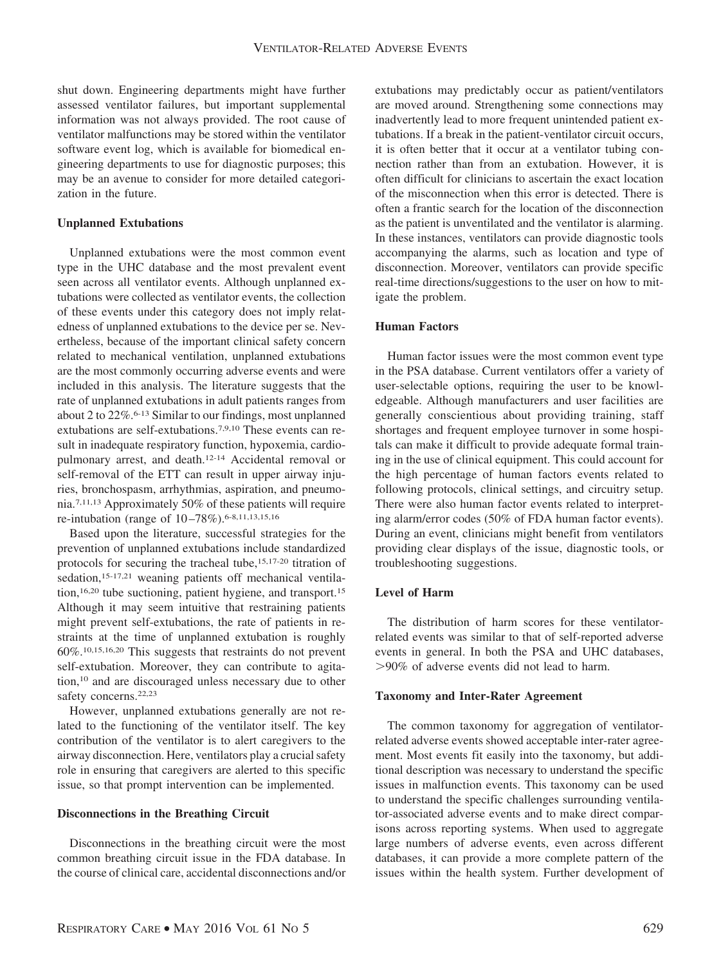shut down. Engineering departments might have further assessed ventilator failures, but important supplemental information was not always provided. The root cause of ventilator malfunctions may be stored within the ventilator software event log, which is available for biomedical engineering departments to use for diagnostic purposes; this may be an avenue to consider for more detailed categorization in the future.

# **Unplanned Extubations**

Unplanned extubations were the most common event type in the UHC database and the most prevalent event seen across all ventilator events. Although unplanned extubations were collected as ventilator events, the collection of these events under this category does not imply relatedness of unplanned extubations to the device per se. Nevertheless, because of the important clinical safety concern related to mechanical ventilation, unplanned extubations are the most commonly occurring adverse events and were included in this analysis. The literature suggests that the rate of unplanned extubations in adult patients ranges from about 2 to 22%.6-13 Similar to our findings, most unplanned extubations are self-extubations.7,9,10 These events can result in inadequate respiratory function, hypoxemia, cardiopulmonary arrest, and death.12-14 Accidental removal or self-removal of the ETT can result in upper airway injuries, bronchospasm, arrhythmias, aspiration, and pneumonia.7,11,13 Approximately 50% of these patients will require re-intubation (range of 10-78%).<sup>6-8,11,13,15,16</sup>

Based upon the literature, successful strategies for the prevention of unplanned extubations include standardized protocols for securing the tracheal tube,15,17-20 titration of sedation,<sup>15-17,21</sup> weaning patients off mechanical ventilation,<sup>16,20</sup> tube suctioning, patient hygiene, and transport.<sup>15</sup> Although it may seem intuitive that restraining patients might prevent self-extubations, the rate of patients in restraints at the time of unplanned extubation is roughly 60%.10,15,16,20 This suggests that restraints do not prevent self-extubation. Moreover, they can contribute to agitation,10 and are discouraged unless necessary due to other safety concerns.<sup>22,23</sup>

However, unplanned extubations generally are not related to the functioning of the ventilator itself. The key contribution of the ventilator is to alert caregivers to the airway disconnection. Here, ventilators play a crucial safety role in ensuring that caregivers are alerted to this specific issue, so that prompt intervention can be implemented.

### **Disconnections in the Breathing Circuit**

Disconnections in the breathing circuit were the most common breathing circuit issue in the FDA database. In the course of clinical care, accidental disconnections and/or extubations may predictably occur as patient/ventilators are moved around. Strengthening some connections may inadvertently lead to more frequent unintended patient extubations. If a break in the patient-ventilator circuit occurs, it is often better that it occur at a ventilator tubing connection rather than from an extubation. However, it is often difficult for clinicians to ascertain the exact location of the misconnection when this error is detected. There is often a frantic search for the location of the disconnection as the patient is unventilated and the ventilator is alarming. In these instances, ventilators can provide diagnostic tools accompanying the alarms, such as location and type of disconnection. Moreover, ventilators can provide specific real-time directions/suggestions to the user on how to mitigate the problem.

### **Human Factors**

Human factor issues were the most common event type in the PSA database. Current ventilators offer a variety of user-selectable options, requiring the user to be knowledgeable. Although manufacturers and user facilities are generally conscientious about providing training, staff shortages and frequent employee turnover in some hospitals can make it difficult to provide adequate formal training in the use of clinical equipment. This could account for the high percentage of human factors events related to following protocols, clinical settings, and circuitry setup. There were also human factor events related to interpreting alarm/error codes (50% of FDA human factor events). During an event, clinicians might benefit from ventilators providing clear displays of the issue, diagnostic tools, or troubleshooting suggestions.

# **Level of Harm**

The distribution of harm scores for these ventilatorrelated events was similar to that of self-reported adverse events in general. In both the PSA and UHC databases, -90% of adverse events did not lead to harm.

### **Taxonomy and Inter-Rater Agreement**

The common taxonomy for aggregation of ventilatorrelated adverse events showed acceptable inter-rater agreement. Most events fit easily into the taxonomy, but additional description was necessary to understand the specific issues in malfunction events. This taxonomy can be used to understand the specific challenges surrounding ventilator-associated adverse events and to make direct comparisons across reporting systems. When used to aggregate large numbers of adverse events, even across different databases, it can provide a more complete pattern of the issues within the health system. Further development of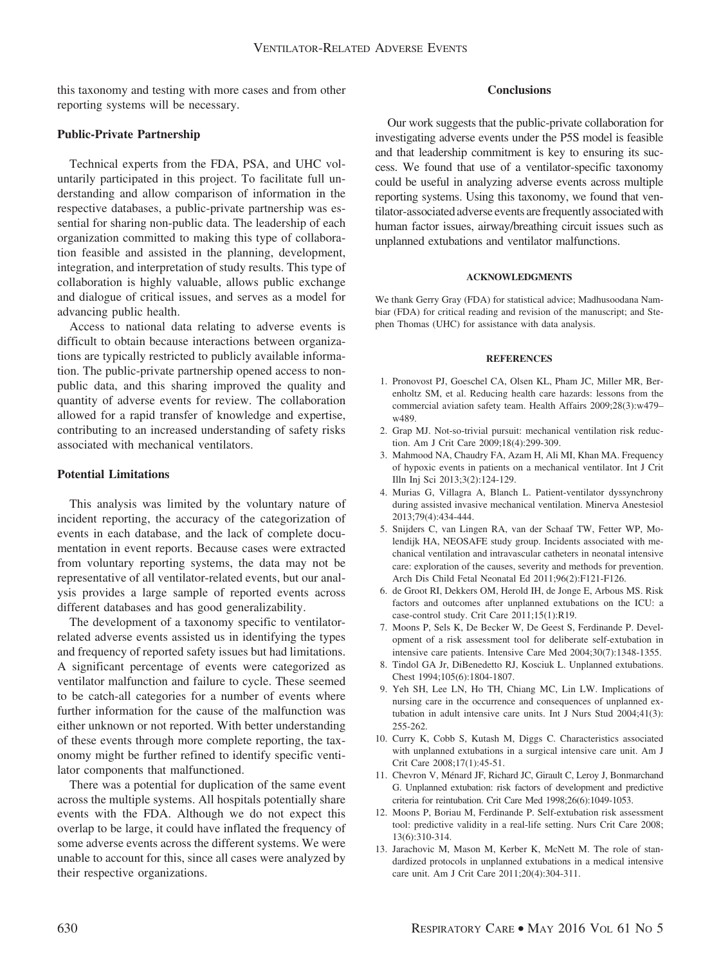this taxonomy and testing with more cases and from other reporting systems will be necessary.

### **Public-Private Partnership**

Technical experts from the FDA, PSA, and UHC voluntarily participated in this project. To facilitate full understanding and allow comparison of information in the respective databases, a public-private partnership was essential for sharing non-public data. The leadership of each organization committed to making this type of collaboration feasible and assisted in the planning, development, integration, and interpretation of study results. This type of collaboration is highly valuable, allows public exchange and dialogue of critical issues, and serves as a model for advancing public health.

Access to national data relating to adverse events is difficult to obtain because interactions between organizations are typically restricted to publicly available information. The public-private partnership opened access to nonpublic data, and this sharing improved the quality and quantity of adverse events for review. The collaboration allowed for a rapid transfer of knowledge and expertise, contributing to an increased understanding of safety risks associated with mechanical ventilators.

### **Potential Limitations**

This analysis was limited by the voluntary nature of incident reporting, the accuracy of the categorization of events in each database, and the lack of complete documentation in event reports. Because cases were extracted from voluntary reporting systems, the data may not be representative of all ventilator-related events, but our analysis provides a large sample of reported events across different databases and has good generalizability.

The development of a taxonomy specific to ventilatorrelated adverse events assisted us in identifying the types and frequency of reported safety issues but had limitations. A significant percentage of events were categorized as ventilator malfunction and failure to cycle. These seemed to be catch-all categories for a number of events where further information for the cause of the malfunction was either unknown or not reported. With better understanding of these events through more complete reporting, the taxonomy might be further refined to identify specific ventilator components that malfunctioned.

There was a potential for duplication of the same event across the multiple systems. All hospitals potentially share events with the FDA. Although we do not expect this overlap to be large, it could have inflated the frequency of some adverse events across the different systems. We were unable to account for this, since all cases were analyzed by their respective organizations.

### **Conclusions**

Our work suggests that the public-private collaboration for investigating adverse events under the P5S model is feasible and that leadership commitment is key to ensuring its success. We found that use of a ventilator-specific taxonomy could be useful in analyzing adverse events across multiple reporting systems. Using this taxonomy, we found that ventilator-associated adverse events are frequently associated with human factor issues, airway/breathing circuit issues such as unplanned extubations and ventilator malfunctions.

# **ACKNOWLEDGMENTS**

We thank Gerry Gray (FDA) for statistical advice; Madhusoodana Nambiar (FDA) for critical reading and revision of the manuscript; and Stephen Thomas (UHC) for assistance with data analysis.

#### **REFERENCES**

- 1. Pronovost PJ, Goeschel CA, Olsen KL, Pham JC, Miller MR, Berenholtz SM, et al. Reducing health care hazards: lessons from the commercial aviation safety team. Health Affairs 2009;28(3):w479– w489.
- 2. Grap MJ. Not-so-trivial pursuit: mechanical ventilation risk reduction. Am J Crit Care 2009;18(4):299-309.
- 3. Mahmood NA, Chaudry FA, Azam H, Ali MI, Khan MA. Frequency of hypoxic events in patients on a mechanical ventilator. Int J Crit Illn Inj Sci 2013;3(2):124-129.
- 4. Murias G, Villagra A, Blanch L. Patient-ventilator dyssynchrony during assisted invasive mechanical ventilation. Minerva Anestesiol 2013;79(4):434-444.
- 5. Snijders C, van Lingen RA, van der Schaaf TW, Fetter WP, Molendijk HA, NEOSAFE study group. Incidents associated with mechanical ventilation and intravascular catheters in neonatal intensive care: exploration of the causes, severity and methods for prevention. Arch Dis Child Fetal Neonatal Ed 2011;96(2):F121-F126.
- 6. de Groot RI, Dekkers OM, Herold IH, de Jonge E, Arbous MS. Risk factors and outcomes after unplanned extubations on the ICU: a case-control study. Crit Care 2011;15(1):R19.
- 7. Moons P, Sels K, De Becker W, De Geest S, Ferdinande P. Development of a risk assessment tool for deliberate self-extubation in intensive care patients. Intensive Care Med 2004;30(7):1348-1355.
- 8. Tindol GA Jr, DiBenedetto RJ, Kosciuk L. Unplanned extubations. Chest 1994;105(6):1804-1807.
- 9. Yeh SH, Lee LN, Ho TH, Chiang MC, Lin LW. Implications of nursing care in the occurrence and consequences of unplanned extubation in adult intensive care units. Int J Nurs Stud 2004;41(3): 255-262.
- 10. Curry K, Cobb S, Kutash M, Diggs C. Characteristics associated with unplanned extubations in a surgical intensive care unit. Am J Crit Care 2008;17(1):45-51.
- 11. Chevron V, Ménard JF, Richard JC, Girault C, Leroy J, Bonmarchand G. Unplanned extubation: risk factors of development and predictive criteria for reintubation. Crit Care Med 1998;26(6):1049-1053.
- 12. Moons P, Boriau M, Ferdinande P. Self-extubation risk assessment tool: predictive validity in a real-life setting. Nurs Crit Care 2008; 13(6):310-314.
- 13. Jarachovic M, Mason M, Kerber K, McNett M. The role of standardized protocols in unplanned extubations in a medical intensive care unit. Am J Crit Care 2011;20(4):304-311.